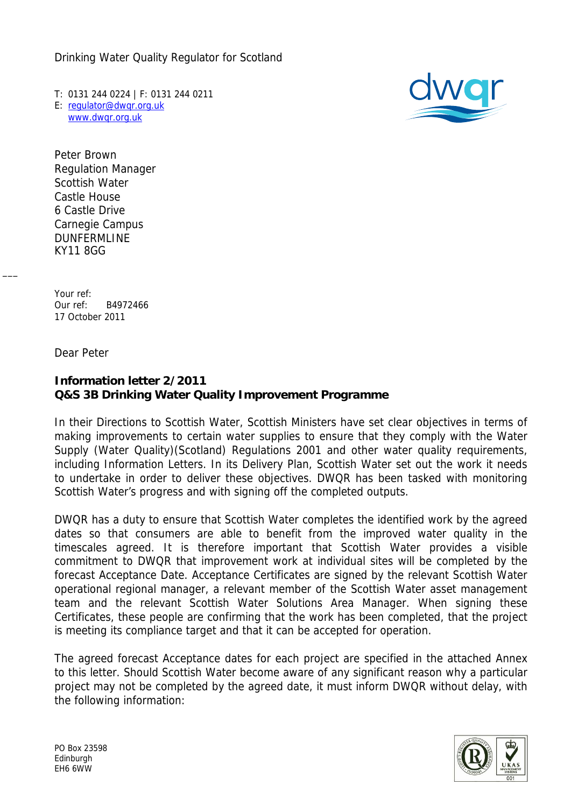Drinking Water Quality Regulator for Scotland

T: 0131 244 0224 | F: 0131 244 0211 E: [regulator@dwqr.org.uk](mailto:regulator@dwqr.org.uk) [www.dwqr.org.uk](http://www.dwqr.org.uk/)



Peter Brown Regulation Manager Scottish Water Castle House 6 Castle Drive Carnegie Campus DUNFERMLINE KY11 8GG

Your ref: Our ref: B4972466 17 October 2011

Dear Peter

 $\overline{\phantom{a}}$ 

## **Information letter 2/2011 Q&S 3B Drinking Water Quality Improvement Programme**

In their Directions to Scottish Water, Scottish Ministers have set clear objectives in terms of making improvements to certain water supplies to ensure that they comply with the Water Supply (Water Quality)(Scotland) Regulations 2001 and other water quality requirements, including Information Letters. In its Delivery Plan, Scottish Water set out the work it needs to undertake in order to deliver these objectives. DWQR has been tasked with monitoring Scottish Water's progress and with signing off the completed outputs.

DWQR has a duty to ensure that Scottish Water completes the identified work by the agreed dates so that consumers are able to benefit from the improved water quality in the timescales agreed. It is therefore important that Scottish Water provides a visible commitment to DWQR that improvement work at individual sites will be completed by the forecast Acceptance Date. Acceptance Certificates are signed by the relevant Scottish Water operational regional manager, a relevant member of the Scottish Water asset management team and the relevant Scottish Water Solutions Area Manager. When signing these Certificates, these people are confirming that the work has been completed, that the project is meeting its compliance target and that it can be accepted for operation.

The agreed forecast Acceptance dates for each project are specified in the attached Annex to this letter. Should Scottish Water become aware of any significant reason why a particular project may not be completed by the agreed date, it must inform DWQR without delay, with the following information: